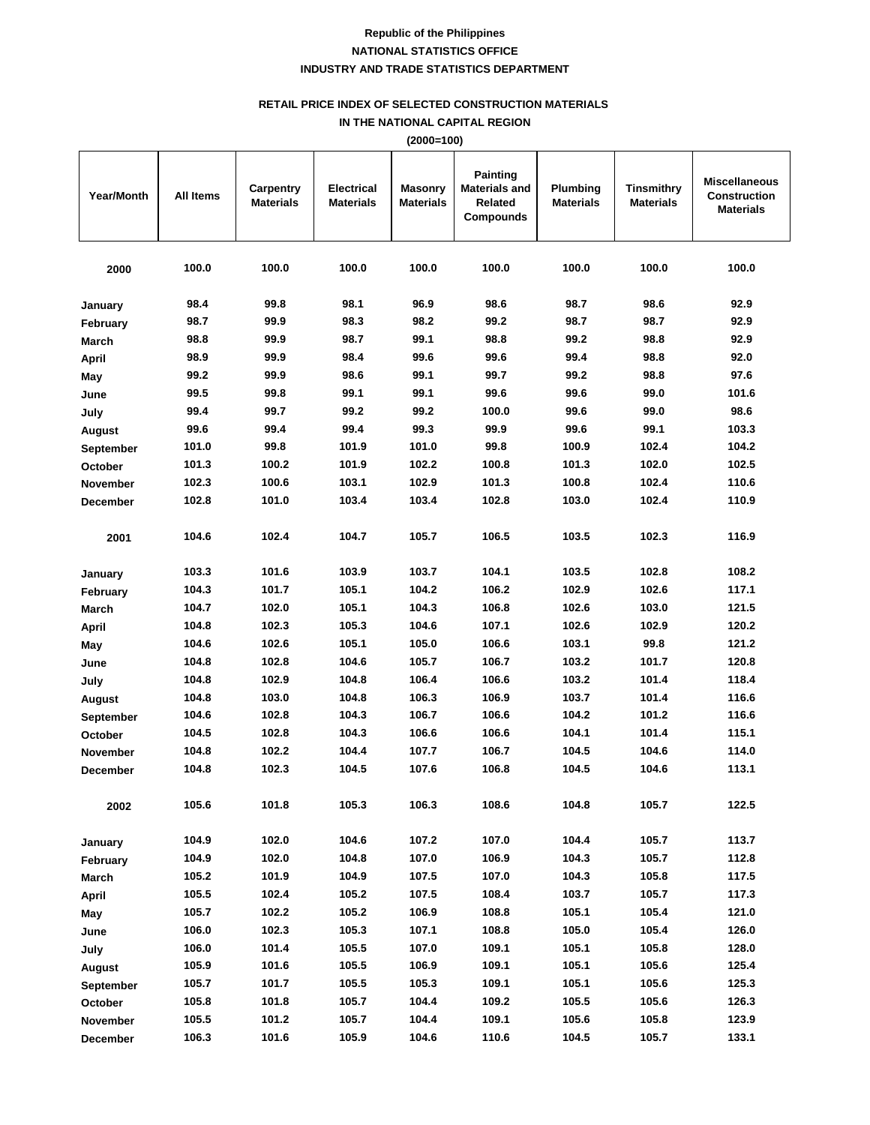## **RETAIL PRICE INDEX OF SELECTED CONSTRUCTION MATERIALS**

**IN THE NATIONAL CAPITAL REGION**

|                   | (2000=100)       |                               |                                       |                                    |                                                                        |                              |                                       |                                                                 |  |  |
|-------------------|------------------|-------------------------------|---------------------------------------|------------------------------------|------------------------------------------------------------------------|------------------------------|---------------------------------------|-----------------------------------------------------------------|--|--|
| <b>Year/Month</b> | <b>All Items</b> | Carpentry<br><b>Materials</b> | <b>Electrical</b><br><b>Materials</b> | <b>Masonry</b><br><b>Materials</b> | <b>Painting</b><br><b>Materials and</b><br>Related<br><b>Compounds</b> | Plumbing<br><b>Materials</b> | <b>Tinsmithry</b><br><b>Materials</b> | <b>Miscellaneous</b><br><b>Construction</b><br><b>Materials</b> |  |  |
| 2000              | 100.0            | 100.0                         | 100.0                                 | 100.0                              | 100.0                                                                  | 100.0                        | 100.0                                 | 100.0                                                           |  |  |
| January           | 98.4             | 99.8                          | 98.1                                  | 96.9                               | 98.6                                                                   | 98.7                         | 98.6                                  | 92.9                                                            |  |  |
| February          | 98.7             | 99.9                          | 98.3                                  | 98.2                               | 99.2                                                                   | 98.7                         | 98.7                                  | 92.9                                                            |  |  |
| <b>March</b>      | 98.8             | 99.9                          | 98.7                                  | 99.1                               | 98.8                                                                   | 99.2                         | 98.8                                  | 92.9                                                            |  |  |
| <b>April</b>      | 98.9             | 99.9                          | 98.4                                  | 99.6                               | 99.6                                                                   | 99.4                         | 98.8                                  | 92.0                                                            |  |  |
| May               | 99.2             | 99.9                          | 98.6                                  | 99.1                               | 99.7                                                                   | 99.2                         | 98.8                                  | 97.6                                                            |  |  |
| June              | 99.5             | 99.8                          | 99.1                                  | 99.1                               | 99.6                                                                   | 99.6                         | 99.0                                  | 101.6                                                           |  |  |
| July              | 99.4             | 99.7                          | 99.2                                  | 99.2                               | 100.0                                                                  | 99.6                         | 99.0                                  | 98.6                                                            |  |  |
| August            | 99.6             | 99.4                          | 99.4                                  | 99.3                               | 99.9                                                                   | 99.6                         | 99.1                                  | 103.3                                                           |  |  |
| September         | 101.0            | 99.8                          | 101.9                                 | 101.0                              | 99.8                                                                   | 100.9                        | 102.4                                 | 104.2                                                           |  |  |
| October           | 101.3            | 100.2                         | 101.9                                 | 102.2                              | 100.8                                                                  | 101.3                        | 102.0                                 | 102.5                                                           |  |  |
| <b>November</b>   | 102.3            | 100.6                         | 103.1                                 | 102.9                              | 101.3                                                                  | 100.8                        | 102.4                                 | 110.6                                                           |  |  |
| <b>December</b>   | 102.8            | 101.0                         | 103.4                                 | 103.4                              | 102.8                                                                  | 103.0                        | 102.4                                 | 110.9                                                           |  |  |
| 2001              | 104.6            | 102.4                         | 104.7                                 | 105.7                              | 106.5                                                                  | 103.5                        | 102.3                                 | 116.9                                                           |  |  |
| January           | 103.3            | 101.6                         | 103.9                                 | 103.7                              | 104.1                                                                  | 103.5                        | 102.8                                 | 108.2                                                           |  |  |
| February          | 104.3            | 101.7                         | 105.1                                 | 104.2                              | 106.2                                                                  | 102.9                        | 102.6                                 | 117.1                                                           |  |  |
| March             | 104.7            | 102.0                         | 105.1                                 | 104.3                              | 106.8                                                                  | 102.6                        | 103.0                                 | 121.5                                                           |  |  |
| <b>April</b>      | 104.8            | 102.3                         | 105.3                                 | 104.6                              | 107.1                                                                  | 102.6                        | 102.9                                 | 120.2                                                           |  |  |
| May               | 104.6            | 102.6                         | 105.1                                 | 105.0                              | 106.6                                                                  | 103.1                        | 99.8                                  | 121.2                                                           |  |  |
| June              | 104.8            | 102.8                         | 104.6                                 | 105.7                              | 106.7                                                                  | 103.2                        | 101.7                                 | 120.8                                                           |  |  |
| July              | 104.8            | 102.9                         | 104.8                                 | 106.4                              | 106.6                                                                  | 103.2                        | 101.4                                 | 118.4                                                           |  |  |
| August            | 104.8            | 103.0                         | 104.8                                 | 106.3                              | 106.9                                                                  | 103.7                        | 101.4                                 | 116.6                                                           |  |  |
| September         | 104.6            | 102.8                         | 104.3                                 | 106.7                              | 106.6                                                                  | 104.2                        | 101.2                                 | 116.6                                                           |  |  |
| October           | 104.5            | 102.8                         | 104.3                                 | 106.6                              | 106.6                                                                  | 104.1                        | 101.4                                 | 115.1                                                           |  |  |
| <b>November</b>   | 104.8            | 102.2                         | 104.4                                 | 107.7                              | 106.7                                                                  | 104.5                        | 104.6                                 | 114.0                                                           |  |  |
| December          | 104.8            | 102.3                         | 104.5                                 | 107.6                              | 106.8                                                                  | 104.5                        | 104.6                                 | 113.1                                                           |  |  |
| 2002              | 105.6            | 101.8                         | 105.3                                 | 106.3                              | 108.6                                                                  | 104.8                        | 105.7                                 | 122.5                                                           |  |  |
| January           | 104.9            | 102.0                         | 104.6                                 | 107.2                              | 107.0                                                                  | 104.4                        | 105.7                                 | 113.7                                                           |  |  |
| February          | 104.9            | 102.0                         | 104.8                                 | 107.0                              | 106.9                                                                  | 104.3                        | 105.7                                 | 112.8                                                           |  |  |
| March             | 105.2            | 101.9                         | 104.9                                 | 107.5                              | 107.0                                                                  | 104.3                        | 105.8                                 | 117.5                                                           |  |  |
| April             | 105.5            | 102.4                         | 105.2                                 | 107.5                              | 108.4                                                                  | 103.7                        | 105.7                                 | 117.3                                                           |  |  |
| May               | 105.7            | 102.2                         | 105.2                                 | 106.9                              | 108.8                                                                  | 105.1                        | 105.4                                 | 121.0                                                           |  |  |
| June              | 106.0            | 102.3                         | 105.3                                 | 107.1                              | 108.8                                                                  | 105.0                        | 105.4                                 | 126.0                                                           |  |  |
| July              | 106.0            | 101.4                         | 105.5                                 | 107.0                              | 109.1                                                                  | 105.1                        | 105.8                                 | 128.0                                                           |  |  |
| August            | 105.9            | 101.6                         | 105.5                                 | 106.9                              | 109.1                                                                  | 105.1                        | 105.6                                 | 125.4                                                           |  |  |
| <b>September</b>  | 105.7            | 101.7                         | 105.5                                 | 105.3                              | 109.1                                                                  | 105.1                        | 105.6                                 | 125.3                                                           |  |  |
| October           | 105.8            | 101.8                         | 105.7                                 | 104.4                              | 109.2                                                                  | 105.5                        | 105.6                                 | 126.3                                                           |  |  |
| November          | 105.5            | 101.2                         | 105.7                                 | 104.4                              | 109.1                                                                  | 105.6                        | 105.8                                 | 123.9                                                           |  |  |

**December 106.3 101.6 105.9 104.6 110.6 104.5 105.7 133.1**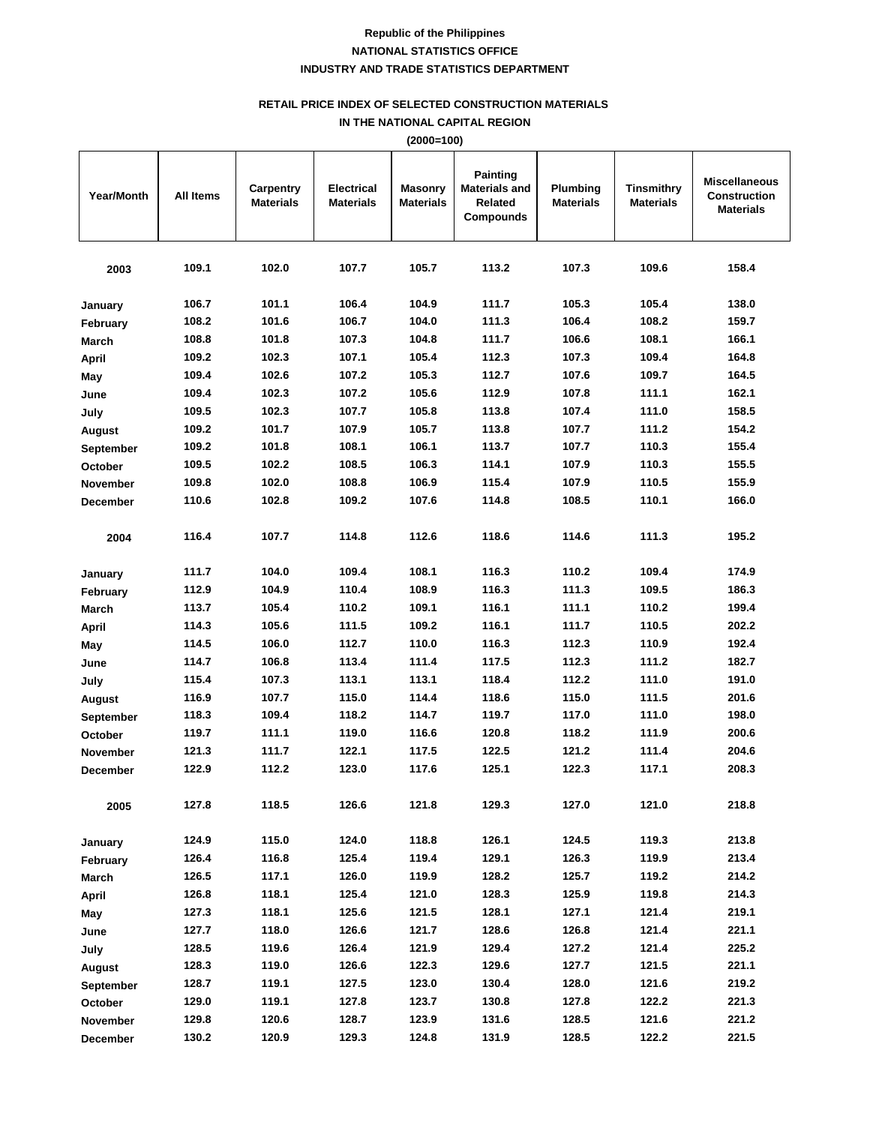## **RETAIL PRICE INDEX OF SELECTED CONSTRUCTION MATERIALS**

**IN THE NATIONAL CAPITAL REGION**

|                 | $(2000=100)$ |                               |                                       |                                    |                                                                 |                              |                                       |                                                                 |  |  |  |
|-----------------|--------------|-------------------------------|---------------------------------------|------------------------------------|-----------------------------------------------------------------|------------------------------|---------------------------------------|-----------------------------------------------------------------|--|--|--|
| Year/Month      | All Items    | Carpentry<br><b>Materials</b> | <b>Electrical</b><br><b>Materials</b> | <b>Masonry</b><br><b>Materials</b> | Painting<br><b>Materials and</b><br>Related<br><b>Compounds</b> | Plumbing<br><b>Materials</b> | <b>Tinsmithry</b><br><b>Materials</b> | <b>Miscellaneous</b><br><b>Construction</b><br><b>Materials</b> |  |  |  |
| 2003            | 109.1        | 102.0                         | 107.7                                 | 105.7                              | 113.2                                                           | 107.3                        | 109.6                                 | 158.4                                                           |  |  |  |
| January         | 106.7        | 101.1                         | 106.4                                 | 104.9                              | 111.7                                                           | 105.3                        | 105.4                                 | 138.0                                                           |  |  |  |
| February        | 108.2        | 101.6                         | 106.7                                 | 104.0                              | 111.3                                                           | 106.4                        | 108.2                                 | 159.7                                                           |  |  |  |
| <b>March</b>    | 108.8        | 101.8                         | 107.3                                 | 104.8                              | 111.7                                                           | 106.6                        | 108.1                                 | 166.1                                                           |  |  |  |
| <b>April</b>    | 109.2        | 102.3                         | 107.1                                 | 105.4                              | 112.3                                                           | 107.3                        | 109.4                                 | 164.8                                                           |  |  |  |
| May             | 109.4        | 102.6                         | 107.2                                 | 105.3                              | 112.7                                                           | 107.6                        | 109.7                                 | 164.5                                                           |  |  |  |
| June            | 109.4        | 102.3                         | 107.2                                 | 105.6                              | 112.9                                                           | 107.8                        | 111.1                                 | 162.1                                                           |  |  |  |
| July            | 109.5        | 102.3                         | 107.7                                 | 105.8                              | 113.8                                                           | 107.4                        | 111.0                                 | 158.5                                                           |  |  |  |
| August          | 109.2        | 101.7                         | 107.9                                 | 105.7                              | 113.8                                                           | 107.7                        | 111.2                                 | 154.2                                                           |  |  |  |
| September       | 109.2        | 101.8                         | 108.1                                 | 106.1                              | 113.7                                                           | 107.7                        | 110.3                                 | 155.4                                                           |  |  |  |
| October         | 109.5        | 102.2                         | 108.5                                 | 106.3                              | 114.1                                                           | 107.9                        | 110.3                                 | 155.5                                                           |  |  |  |
| <b>November</b> | 109.8        | 102.0                         | 108.8                                 | 106.9                              | 115.4                                                           | 107.9                        | 110.5                                 | 155.9                                                           |  |  |  |
| <b>December</b> | 110.6        | 102.8                         | 109.2                                 | 107.6                              | 114.8                                                           | 108.5                        | 110.1                                 | 166.0                                                           |  |  |  |
| 2004            | 116.4        | 107.7                         | 114.8                                 | 112.6                              | 118.6                                                           | 114.6                        | 111.3                                 | 195.2                                                           |  |  |  |
| January         | 111.7        | 104.0                         | 109.4                                 | 108.1                              | 116.3                                                           | 110.2                        | 109.4                                 | 174.9                                                           |  |  |  |
| February        | 112.9        | 104.9                         | 110.4                                 | 108.9                              | 116.3                                                           | 111.3                        | 109.5                                 | 186.3                                                           |  |  |  |
| <b>March</b>    | 113.7        | 105.4                         | 110.2                                 | 109.1                              | 116.1                                                           | 111.1                        | 110.2                                 | 199.4                                                           |  |  |  |
| April           | 114.3        | 105.6                         | 111.5                                 | 109.2                              | 116.1                                                           | 111.7                        | 110.5                                 | 202.2                                                           |  |  |  |
| May             | 114.5        | 106.0                         | 112.7                                 | 110.0                              | 116.3                                                           | 112.3                        | 110.9                                 | 192.4                                                           |  |  |  |
| June            | 114.7        | 106.8                         | 113.4                                 | 111.4                              | 117.5                                                           | 112.3                        | 111.2                                 | 182.7                                                           |  |  |  |
| July            | 115.4        | 107.3                         | 113.1                                 | 113.1                              | 118.4                                                           | 112.2                        | 111.0                                 | 191.0                                                           |  |  |  |
| August          | 116.9        | 107.7                         | 115.0                                 | 114.4                              | 118.6                                                           | 115.0                        | 111.5                                 | 201.6                                                           |  |  |  |
| September       | 118.3        | 109.4                         | 118.2                                 | 114.7                              | 119.7                                                           | 117.0                        | 111.0                                 | 198.0                                                           |  |  |  |
| <b>October</b>  | 119.7        | 111.1                         | 119.0                                 | 116.6                              | 120.8                                                           | 118.2                        | 111.9                                 | 200.6                                                           |  |  |  |

| September       | 118.3 | 109.4 | 118.2 | 114.7 | 119.7 | 117.0 | 111.0 | 198.0 |
|-----------------|-------|-------|-------|-------|-------|-------|-------|-------|
| <b>October</b>  | 119.7 | 111.1 | 119.0 | 116.6 | 120.8 | 118.2 | 111.9 | 200.6 |
| <b>November</b> | 121.3 | 111.7 | 122.1 | 117.5 | 122.5 | 121.2 | 111.4 | 204.6 |
| December        | 122.9 | 112.2 | 123.0 | 117.6 | 125.1 | 122.3 | 117.1 | 208.3 |
| 2005            | 127.8 | 118.5 | 126.6 | 121.8 | 129.3 | 127.0 | 121.0 | 218.8 |
| January         | 124.9 | 115.0 | 124.0 | 118.8 | 126.1 | 124.5 | 119.3 | 213.8 |
| February        | 126.4 | 116.8 | 125.4 | 119.4 | 129.1 | 126.3 | 119.9 | 213.4 |
| <b>March</b>    | 126.5 | 117.1 | 126.0 | 119.9 | 128.2 | 125.7 | 119.2 | 214.2 |
| April           | 126.8 | 118.1 | 125.4 | 121.0 | 128.3 | 125.9 | 119.8 | 214.3 |
| May             | 127.3 | 118.1 | 125.6 | 121.5 | 128.1 | 127.1 | 121.4 | 219.1 |
| June            | 127.7 | 118.0 | 126.6 | 121.7 | 128.6 | 126.8 | 121.4 | 221.1 |
| July            | 128.5 | 119.6 | 126.4 | 121.9 | 129.4 | 127.2 | 121.4 | 225.2 |
| August          | 128.3 | 119.0 | 126.6 | 122.3 | 129.6 | 127.7 | 121.5 | 221.1 |
| September       | 128.7 | 119.1 | 127.5 | 123.0 | 130.4 | 128.0 | 121.6 | 219.2 |
| <b>October</b>  | 129.0 | 119.1 | 127.8 | 123.7 | 130.8 | 127.8 | 122.2 | 221.3 |
| November        | 129.8 | 120.6 | 128.7 | 123.9 | 131.6 | 128.5 | 121.6 | 221.2 |
| <b>December</b> | 130.2 | 120.9 | 129.3 | 124.8 | 131.9 | 128.5 | 122.2 | 221.5 |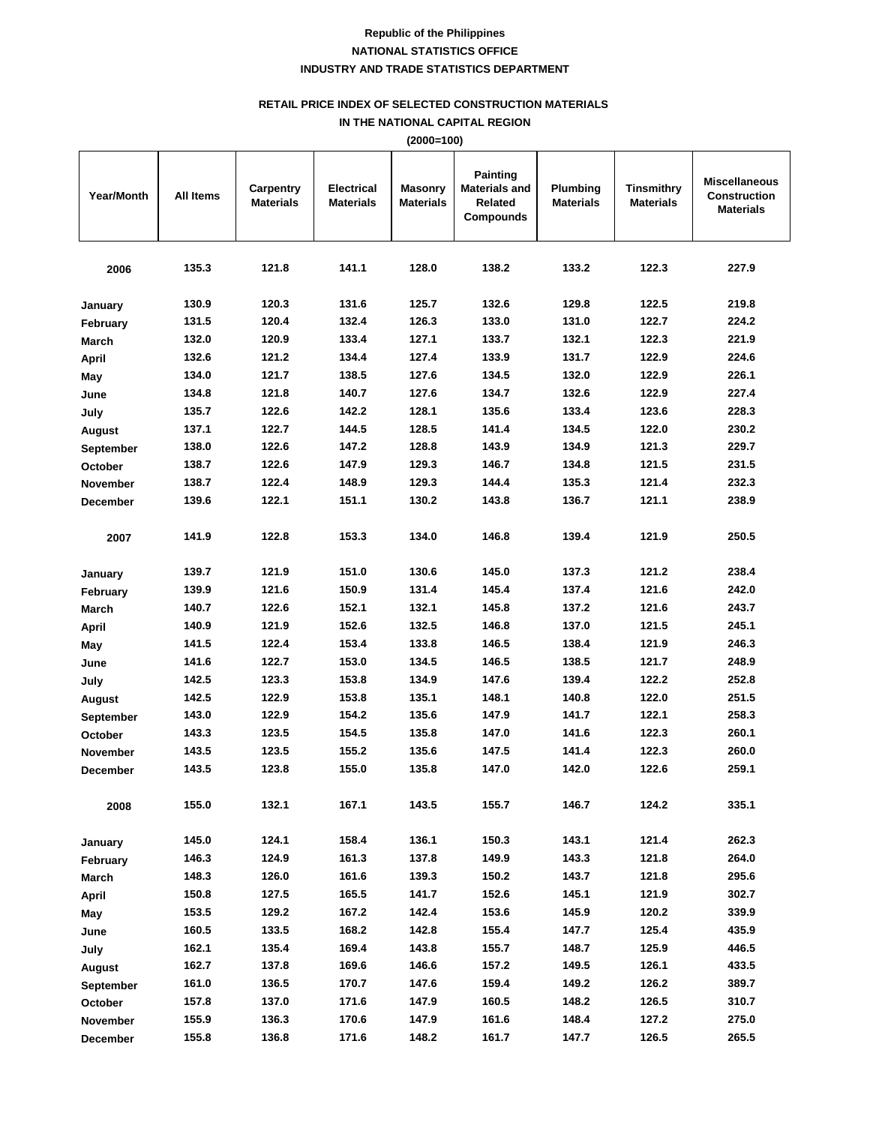## **RETAIL PRICE INDEX OF SELECTED CONSTRUCTION MATERIALS**

**IN THE NATIONAL CAPITAL REGION**

|                   | (2000=100) |                               |                                |                                    |                                                                        |                              |                                |                                                                 |  |  |
|-------------------|------------|-------------------------------|--------------------------------|------------------------------------|------------------------------------------------------------------------|------------------------------|--------------------------------|-----------------------------------------------------------------|--|--|
| <b>Year/Month</b> | All Items  | Carpentry<br><b>Materials</b> | Electrical<br><b>Materials</b> | <b>Masonry</b><br><b>Materials</b> | <b>Painting</b><br><b>Materials and</b><br>Related<br><b>Compounds</b> | Plumbing<br><b>Materials</b> | Tinsmithry<br><b>Materials</b> | <b>Miscellaneous</b><br><b>Construction</b><br><b>Materials</b> |  |  |
| 2006              | 135.3      | 121.8                         | 141.1                          | 128.0                              | 138.2                                                                  | 133.2                        | 122.3                          | 227.9                                                           |  |  |
| January           | 130.9      | 120.3                         | 131.6                          | 125.7                              | 132.6                                                                  | 129.8                        | 122.5                          | 219.8                                                           |  |  |
| February          | 131.5      | 120.4                         | 132.4                          | 126.3                              | 133.0                                                                  | 131.0                        | 122.7                          | 224.2                                                           |  |  |
| March             | 132.0      | 120.9                         | 133.4                          | 127.1                              | 133.7                                                                  | 132.1                        | 122.3                          | 221.9                                                           |  |  |
| April             | 132.6      | 121.2                         | 134.4                          | 127.4                              | 133.9                                                                  | 131.7                        | 122.9                          | 224.6                                                           |  |  |
| May               | 134.0      | 121.7                         | 138.5                          | 127.6                              | 134.5                                                                  | 132.0                        | 122.9                          | 226.1                                                           |  |  |
| June              | 134.8      | 121.8                         | 140.7                          | 127.6                              | 134.7                                                                  | 132.6                        | 122.9                          | 227.4                                                           |  |  |
| July              | 135.7      | 122.6                         | 142.2                          | 128.1                              | 135.6                                                                  | 133.4                        | 123.6                          | 228.3                                                           |  |  |
| August            | 137.1      | 122.7                         | 144.5                          | 128.5                              | 141.4                                                                  | 134.5                        | 122.0                          | 230.2                                                           |  |  |
| September         | 138.0      | 122.6                         | 147.2                          | 128.8                              | 143.9                                                                  | 134.9                        | 121.3                          | 229.7                                                           |  |  |
| October           | 138.7      | 122.6                         | 147.9                          | 129.3                              | 146.7                                                                  | 134.8                        | 121.5                          | 231.5                                                           |  |  |
| <b>November</b>   | 138.7      | 122.4                         | 148.9                          | 129.3                              | 144.4                                                                  | 135.3                        | 121.4                          | 232.3                                                           |  |  |
| <b>December</b>   | 139.6      | 122.1                         | 151.1                          | 130.2                              | 143.8                                                                  | 136.7                        | 121.1                          | 238.9                                                           |  |  |
| 2007              | 141.9      | 122.8                         | 153.3                          | 134.0                              | 146.8                                                                  | 139.4                        | 121.9                          | 250.5                                                           |  |  |
| January           | 139.7      | 121.9                         | 151.0                          | 130.6                              | 145.0                                                                  | 137.3                        | 121.2                          | 238.4                                                           |  |  |
| February          | 139.9      | 121.6                         | 150.9                          | 131.4                              | 145.4                                                                  | 137.4                        | 121.6                          | 242.0                                                           |  |  |
| March             | 140.7      | 122.6                         | 152.1                          | 132.1                              | 145.8                                                                  | 137.2                        | 121.6                          | 243.7                                                           |  |  |
| April             | 140.9      | 121.9                         | 152.6                          | 132.5                              | 146.8                                                                  | 137.0                        | 121.5                          | 245.1                                                           |  |  |
| May               | 141.5      | 122.4                         | 153.4                          | 133.8                              | 146.5                                                                  | 138.4                        | 121.9                          | 246.3                                                           |  |  |
| June              | 141.6      | 122.7                         | 153.0                          | 134.5                              | 146.5                                                                  | 138.5                        | 121.7                          | 248.9                                                           |  |  |
| July              | 142.5      | 123.3                         | 153.8                          | 134.9                              | 147.6                                                                  | 139.4                        | 122.2                          | 252.8                                                           |  |  |
| August            | 142.5      | 122.9                         | 153.8                          | 135.1                              | 148.1                                                                  | 140.8                        | 122.0                          | 251.5                                                           |  |  |
| September         | 143.0      | 122.9                         | 154.2                          | 135.6                              | 147.9                                                                  | 141.7                        | 122.1                          | 258.3                                                           |  |  |
| October           | 143.3      | 123.5                         | 154.5                          | 135.8                              | 147.0                                                                  | 141.6                        | 122.3                          | 260.1                                                           |  |  |
| <b>November</b>   | 143.5      | 123.5                         | 155.2                          | 135.6                              | 147.5                                                                  | 141.4                        | 122.3                          | 260.0                                                           |  |  |
| December          | 143.5      | 123.8                         | 155.0                          | 135.8                              | 147.0                                                                  | 142.0                        | 122.6                          | 259.1                                                           |  |  |
| 2008              | 155.0      | 132.1                         | 167.1                          | 143.5                              | 155.7                                                                  | 146.7                        | 124.2                          | 335.1                                                           |  |  |
| January           | 145.0      | 124.1                         | 158.4                          | 136.1                              | 150.3                                                                  | 143.1                        | 121.4                          | 262.3                                                           |  |  |
| February          | 146.3      | 124.9                         | 161.3                          | 137.8                              | 149.9                                                                  | 143.3                        | 121.8                          | 264.0                                                           |  |  |
| March             | 148.3      | 126.0                         | 161.6                          | 139.3                              | 150.2                                                                  | 143.7                        | 121.8                          | 295.6                                                           |  |  |
| April             | 150.8      | 127.5                         | 165.5                          | 141.7                              | 152.6                                                                  | 145.1                        | 121.9                          | 302.7                                                           |  |  |
| May               | 153.5      | 129.2                         | 167.2                          | 142.4                              | 153.6                                                                  | 145.9                        | 120.2                          | 339.9                                                           |  |  |
| June              | 160.5      | 133.5                         | 168.2                          | 142.8                              | 155.4                                                                  | 147.7                        | 125.4                          | 435.9                                                           |  |  |
| July              | 162.1      | 135.4                         | 169.4                          | 143.8                              | 155.7                                                                  | 148.7                        | 125.9                          | 446.5                                                           |  |  |
| August            | 162.7      | 137.8                         | 169.6                          | 146.6                              | 157.2                                                                  | 149.5                        | 126.1                          | 433.5                                                           |  |  |
| <b>September</b>  | 161.0      | 136.5                         | 170.7                          | 147.6                              | 159.4                                                                  | 149.2                        | 126.2                          | 389.7                                                           |  |  |
| October           | 157.8      | 137.0                         | 171.6                          | 147.9                              | 160.5                                                                  | 148.2                        | 126.5                          | 310.7                                                           |  |  |
| November          | 155.9      | 136.3                         | 170.6                          | 147.9                              | 161.6                                                                  | 148.4                        | 127.2                          | 275.0                                                           |  |  |
| December          | 155.8      | 136.8                         | 171.6                          | 148.2                              | 161.7                                                                  | 147.7                        | 126.5                          | 265.5                                                           |  |  |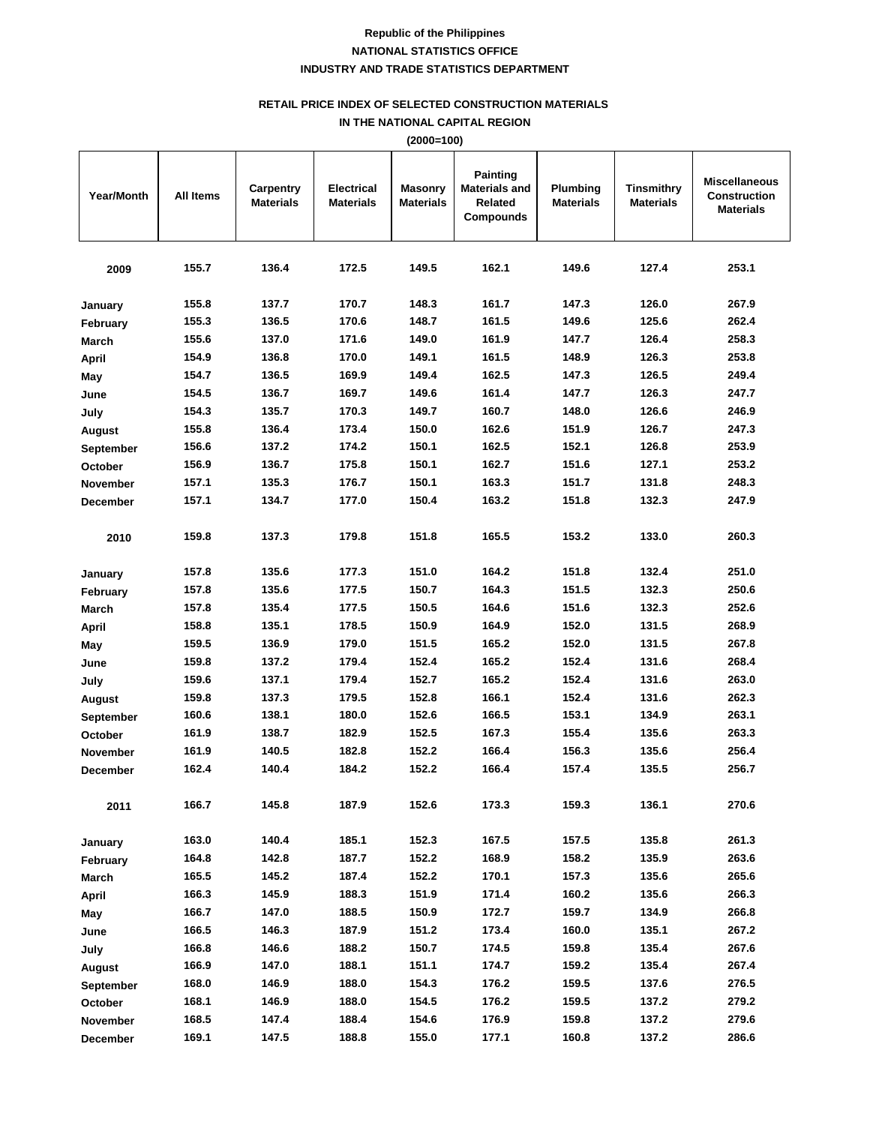## **RETAIL PRICE INDEX OF SELECTED CONSTRUCTION MATERIALS**

**IN THE NATIONAL CAPITAL REGION (2000=100)**

|                   |           |                               |                                       | (2000=100)                  |                                                                 |                              |                                       |                                                                 |
|-------------------|-----------|-------------------------------|---------------------------------------|-----------------------------|-----------------------------------------------------------------|------------------------------|---------------------------------------|-----------------------------------------------------------------|
| <b>Year/Month</b> | All Items | Carpentry<br><b>Materials</b> | <b>Electrical</b><br><b>Materials</b> | <b>Masonry</b><br>Materials | <b>Painting</b><br><b>Materials and</b><br>Related<br>Compounds | Plumbing<br><b>Materials</b> | <b>Tinsmithry</b><br><b>Materials</b> | <b>Miscellaneous</b><br><b>Construction</b><br><b>Materials</b> |
| 2009              | 155.7     | 136.4                         | 172.5                                 | 149.5                       | 162.1                                                           | 149.6                        | 127.4                                 | 253.1                                                           |
| January           | 155.8     | 137.7                         | 170.7                                 | 148.3                       | 161.7                                                           | 147.3                        | 126.0                                 | 267.9                                                           |
| February          | 155.3     | 136.5                         | 170.6                                 | 148.7                       | 161.5                                                           | 149.6                        | 125.6                                 | 262.4                                                           |
| March             | 155.6     | 137.0                         | 171.6                                 | 149.0                       | 161.9                                                           | 147.7                        | 126.4                                 | 258.3                                                           |
| April             | 154.9     | 136.8                         | 170.0                                 | 149.1                       | 161.5                                                           | 148.9                        | 126.3                                 | 253.8                                                           |
| May               | 154.7     | 136.5                         | 169.9                                 | 149.4                       | 162.5                                                           | 147.3                        | 126.5                                 | 249.4                                                           |
| June              | 154.5     | 136.7                         | 169.7                                 | 149.6                       | 161.4                                                           | 147.7                        | 126.3                                 | 247.7                                                           |
| July              | 154.3     | 135.7                         | 170.3                                 | 149.7                       | 160.7                                                           | 148.0                        | 126.6                                 | 246.9                                                           |
| August            | 155.8     | 136.4                         | 173.4                                 | 150.0                       | 162.6                                                           | 151.9                        | 126.7                                 | 247.3                                                           |
| September         | 156.6     | 137.2                         | 174.2                                 | 150.1                       | 162.5                                                           | 152.1                        | 126.8                                 | 253.9                                                           |
| October           | 156.9     | 136.7                         | 175.8                                 | 150.1                       | 162.7                                                           | 151.6                        | 127.1                                 | 253.2                                                           |
| November          | 157.1     | 135.3                         | 176.7                                 | 150.1                       | 163.3                                                           | 151.7                        | 131.8                                 | 248.3                                                           |
| December          | 157.1     | 134.7                         | 177.0                                 | 150.4                       | 163.2                                                           | 151.8                        | 132.3                                 | 247.9                                                           |
| 2010              | 159.8     | 137.3                         | 179.8                                 | 151.8                       | 165.5                                                           | 153.2                        | 133.0                                 | 260.3                                                           |
| January           | 157.8     | 135.6                         | 177.3                                 | 151.0                       | 164.2                                                           | 151.8                        | 132.4                                 | 251.0                                                           |
| February          | 157.8     | 135.6                         | 177.5                                 | 150.7                       | 164.3                                                           | 151.5                        | 132.3                                 | 250.6                                                           |
| <b>March</b>      | 157.8     | 135.4                         | 177.5                                 | 150.5                       | 164.6                                                           | 151.6                        | 132.3                                 | 252.6                                                           |
| April             | 158.8     | 135.1                         | 178.5                                 | 150.9                       | 164.9                                                           | 152.0                        | 131.5                                 | 268.9                                                           |
| May               | 159.5     | 136.9                         | 179.0                                 | 151.5                       | 165.2                                                           | 152.0                        | 131.5                                 | 267.8                                                           |
| June              | 159.8     | 137.2                         | 179.4                                 | 152.4                       | 165.2                                                           | 152.4                        | 131.6                                 | 268.4                                                           |
| July              | 159.6     | 137.1                         | 179.4                                 | 152.7                       | 165.2                                                           | 152.4                        | 131.6                                 | 263.0                                                           |
| August            | 159.8     | 137.3                         | 179.5                                 | 152.8                       | 166.1                                                           | 152.4                        | 131.6                                 | 262.3                                                           |
| <b>September</b>  | 160.6     | 138.1                         | 180.0                                 | 152.6                       | 166.5                                                           | 153.1                        | 134.9                                 | 263.1                                                           |
| October           | 161.9     | 138.7                         | 182.9                                 | 152.5                       | 167.3                                                           | 155.4                        | 135.6                                 | 263.3                                                           |
| <b>November</b>   | 161.9     | 140.5                         | 182.8                                 | 152.2                       | 166.4                                                           | 156.3                        | 135.6                                 | 256.4                                                           |
| December          | 162.4     | 140.4                         | 184.2                                 | 152.2                       | 166.4                                                           | 157.4                        | 135.5                                 | 256.7                                                           |
| 2011              | 166.7     | 145.8                         | 187.9                                 | 152.6                       | 173.3                                                           | 159.3                        | 136.1                                 | 270.6                                                           |
| January           | 163.0     | 140.4                         | 185.1                                 | 152.3                       | 167.5                                                           | 157.5                        | 135.8                                 | 261.3                                                           |
| February          | 164.8     | 142.8                         | 187.7                                 | 152.2                       | 168.9                                                           | 158.2                        | 135.9                                 | 263.6                                                           |
| <b>March</b>      | 165.5     | 145.2                         | 187.4                                 | 152.2                       | 170.1                                                           | 157.3                        | 135.6                                 | 265.6                                                           |
| April             | 166.3     | 145.9                         | 188.3                                 | 151.9                       | 171.4                                                           | 160.2                        | 135.6                                 | 266.3                                                           |
| May               | 166.7     | 147.0                         | 188.5                                 | 150.9                       | 172.7                                                           | 159.7                        | 134.9                                 | 266.8                                                           |
| June              | 166.5     | 146.3                         | 187.9                                 | 151.2                       | 173.4                                                           | 160.0                        | 135.1                                 | 267.2                                                           |
| July              | 166.8     | 146.6                         | 188.2                                 | 150.7                       | 174.5                                                           | 159.8                        | 135.4                                 | 267.6                                                           |
| August            | 166.9     | 147.0                         | 188.1                                 | 151.1                       | 174.7                                                           | 159.2                        | 135.4                                 | 267.4                                                           |
| <b>September</b>  | 168.0     | 146.9                         | 188.0                                 | 154.3                       | 176.2                                                           | 159.5                        | 137.6                                 | 276.5                                                           |
| October           | 168.1     | 146.9                         | 188.0                                 | 154.5                       | 176.2                                                           | 159.5                        | 137.2                                 | 279.2                                                           |
| November          | 168.5     | 147.4                         | 188.4                                 | 154.6                       | 176.9                                                           | 159.8                        | 137.2                                 | 279.6                                                           |
| December          | 169.1     | 147.5                         | 188.8                                 | 155.0                       | 177.1                                                           | 160.8                        | 137.2                                 | 286.6                                                           |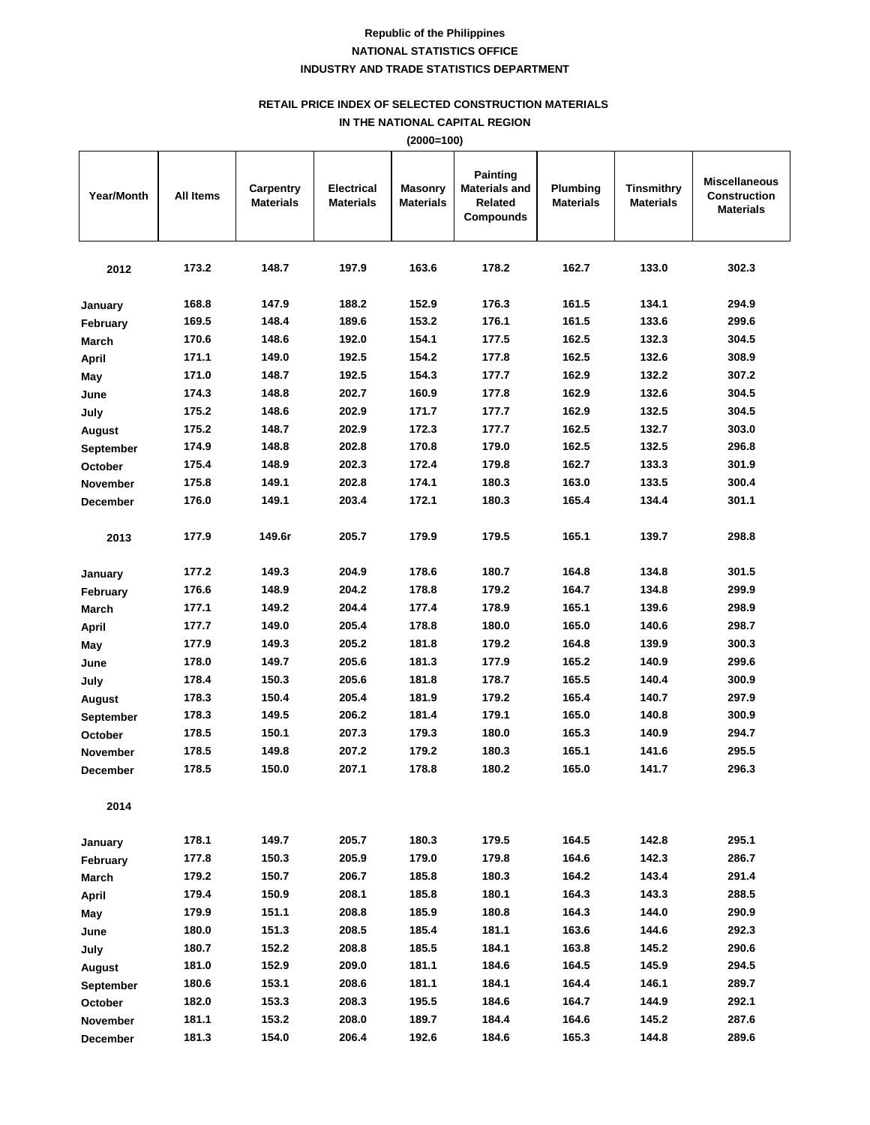## **RETAIL PRICE INDEX OF SELECTED CONSTRUCTION MATERIALS**

**IN THE NATIONAL CAPITAL REGION (2000=100)**

|                   |           |                               |                                       | (ZUUU=1UU)                         |                                                                 |                                     |                         |                                                                 |
|-------------------|-----------|-------------------------------|---------------------------------------|------------------------------------|-----------------------------------------------------------------|-------------------------------------|-------------------------|-----------------------------------------------------------------|
| <b>Year/Month</b> | All Items | Carpentry<br><b>Materials</b> | <b>Electrical</b><br><b>Materials</b> | <b>Masonry</b><br><b>Materials</b> | <b>Painting</b><br><b>Materials and</b><br>Related<br>Compounds | <b>Plumbing</b><br><b>Materials</b> | Tinsmithry<br>Materials | <b>Miscellaneous</b><br><b>Construction</b><br><b>Materials</b> |
| 2012              | 173.2     | 148.7                         | 197.9                                 | 163.6                              | 178.2                                                           | 162.7                               | 133.0                   | 302.3                                                           |
| January           | 168.8     | 147.9                         | 188.2                                 | 152.9                              | 176.3                                                           | 161.5                               | 134.1                   | 294.9                                                           |
| February          | 169.5     | 148.4                         | 189.6                                 | 153.2                              | 176.1                                                           | 161.5                               | 133.6                   | 299.6                                                           |
| March             | 170.6     | 148.6                         | 192.0                                 | 154.1                              | 177.5                                                           | 162.5                               | 132.3                   | 304.5                                                           |
| <b>April</b>      | 171.1     | 149.0                         | 192.5                                 | 154.2                              | 177.8                                                           | 162.5                               | 132.6                   | 308.9                                                           |
| May               | 171.0     | 148.7                         | 192.5                                 | 154.3                              | 177.7                                                           | 162.9                               | 132.2                   | 307.2                                                           |
| June              | 174.3     | 148.8                         | 202.7                                 | 160.9                              | 177.8                                                           | 162.9                               | 132.6                   | 304.5                                                           |
| July              | 175.2     | 148.6                         | 202.9                                 | 171.7                              | 177.7                                                           | 162.9                               | 132.5                   | 304.5                                                           |
| August            | 175.2     | 148.7                         | 202.9                                 | 172.3                              | 177.7                                                           | 162.5                               | 132.7                   | 303.0                                                           |
| September         | 174.9     | 148.8                         | 202.8                                 | 170.8                              | 179.0                                                           | 162.5                               | 132.5                   | 296.8                                                           |
| October           | 175.4     | 148.9                         | 202.3                                 | 172.4                              | 179.8                                                           | 162.7                               | 133.3                   | 301.9                                                           |
| <b>November</b>   | 175.8     | 149.1                         | 202.8                                 | 174.1                              | 180.3                                                           | 163.0                               | 133.5                   | 300.4                                                           |
| <b>December</b>   | 176.0     | 149.1                         | 203.4                                 | 172.1                              | 180.3                                                           | 165.4                               | 134.4                   | 301.1                                                           |
| 2013              | 177.9     | 149.6r                        | 205.7                                 | 179.9                              | 179.5                                                           | 165.1                               | 139.7                   | 298.8                                                           |
| January           | 177.2     | 149.3                         | 204.9                                 | 178.6                              | 180.7                                                           | 164.8                               | 134.8                   | 301.5                                                           |
| February          | 176.6     | 148.9                         | 204.2                                 | 178.8                              | 179.2                                                           | 164.7                               | 134.8                   | 299.9                                                           |
| March             | 177.1     | 149.2                         | 204.4                                 | 177.4                              | 178.9                                                           | 165.1                               | 139.6                   | 298.9                                                           |
| <b>April</b>      | 177.7     | 149.0                         | 205.4                                 | 178.8                              | 180.0                                                           | 165.0                               | 140.6                   | 298.7                                                           |
| May               | 177.9     | 149.3                         | 205.2                                 | 181.8                              | 179.2                                                           | 164.8                               | 139.9                   | 300.3                                                           |
| June              | 178.0     | 149.7                         | 205.6                                 | 181.3                              | 177.9                                                           | 165.2                               | 140.9                   | 299.6                                                           |
| July              | 178.4     | 150.3                         | 205.6                                 | 181.8                              | 178.7                                                           | 165.5                               | 140.4                   | 300.9                                                           |
| August            | 178.3     | 150.4                         | 205.4                                 | 181.9                              | 179.2                                                           | 165.4                               | 140.7                   | 297.9                                                           |
| September         | 178.3     | 149.5                         | 206.2                                 | 181.4                              | 179.1                                                           | 165.0                               | 140.8                   | 300.9                                                           |
| October           | 178.5     | 150.1                         | 207.3                                 | 179.3                              | 180.0                                                           | 165.3                               | 140.9                   | 294.7                                                           |
| <b>November</b>   | 178.5     | 149.8                         | 207.2                                 | 179.2                              | 180.3                                                           | 165.1                               | 141.6                   | 295.5                                                           |
| <b>December</b>   | 178.5     | 150.0                         | 207.1                                 | 178.8                              | 180.2                                                           | 165.0                               | 141.7                   | 296.3                                                           |
| 2014              |           |                               |                                       |                                    |                                                                 |                                     |                         |                                                                 |
| January           | 178.1     | 149.7                         | 205.7                                 | 180.3                              | 179.5                                                           | 164.5                               | 142.8                   | 295.1                                                           |
| February          | 177.8     | 150.3                         | 205.9                                 | 179.0                              | 179.8                                                           | 164.6                               | 142.3                   | 286.7                                                           |
| March             | 179.2     | 150.7                         | 206.7                                 | 185.8                              | 180.3                                                           | 164.2                               | 143.4                   | 291.4                                                           |
| April             | 179.4     | 150.9                         | 208.1                                 | 185.8                              | 180.1                                                           | 164.3                               | 143.3                   | 288.5                                                           |
| May               | 179.9     | 151.1                         | 208.8                                 | 185.9                              | 180.8                                                           | 164.3                               | 144.0                   | 290.9                                                           |
| June              | 180.0     | 151.3                         | 208.5                                 | 185.4                              | 181.1                                                           | 163.6                               | 144.6                   | 292.3                                                           |
| July              | 180.7     | 152.2                         | 208.8                                 | 185.5                              | 184.1                                                           | 163.8                               | 145.2                   | 290.6                                                           |
| August            | 181.0     | 152.9                         | 209.0                                 | 181.1                              | 184.6                                                           | 164.5                               | 145.9                   | 294.5                                                           |
| <b>September</b>  | 180.6     | 153.1                         | 208.6                                 | 181.1                              | 184.1                                                           | 164.4                               | 146.1                   | 289.7                                                           |
| October           | 182.0     | 153.3                         | 208.3                                 | 195.5                              | 184.6                                                           | 164.7                               | 144.9                   | 292.1                                                           |
| November          | 181.1     | 153.2                         | 208.0                                 | 189.7                              | 184.4                                                           | 164.6                               | 145.2                   | 287.6                                                           |
| December          | 181.3     | 154.0                         | 206.4                                 | 192.6                              | 184.6                                                           | 165.3                               | 144.8                   | 289.6                                                           |